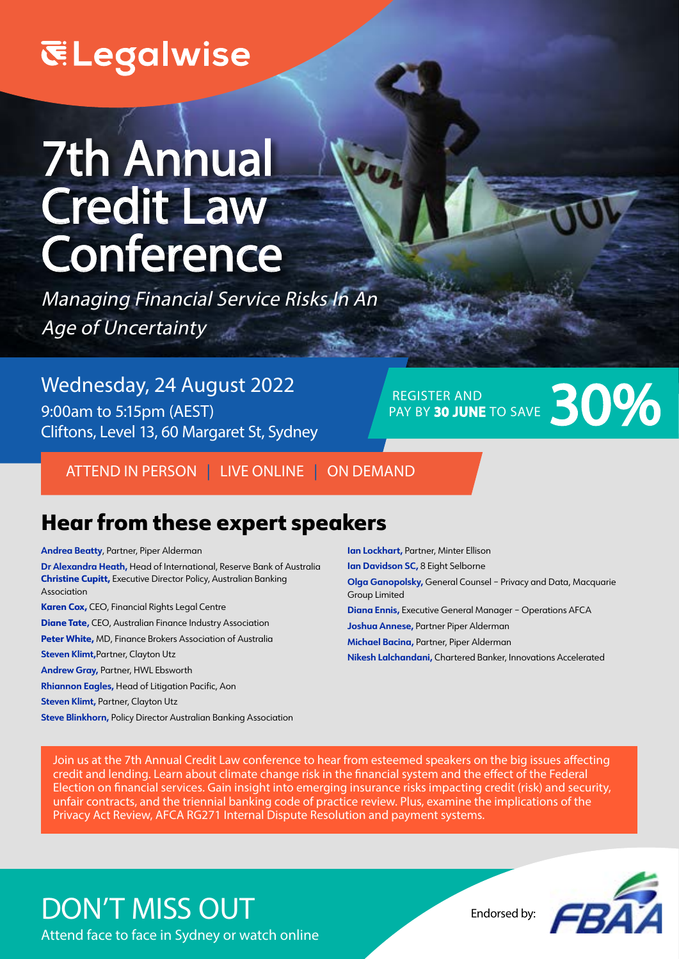# **ELegalwise**

# 7th Annual Credit Law **Conference**

Managing Financial Service Risks In An Age of Uncertainty

Wednesday, 24 August 2022 9:00am to 5:15pm (AEST) Cliftons, Level 13, 60 Margaret St, Sydney

REGISTER AND REGISTER AND PAY BY 30 JUNE TO SAVE 30 JUNE TO SAVE

ATTEND IN PERSON | LIVE ONLINE | ON DEMAND

# Hear from these expert speakers

#### **Andrea Beatty**, Partner, Piper Alderman

- **Dr Alexandra Heath,** Head of International, Reserve Bank of Australia **Christine Cupitt,** Executive Director Policy, Australian Banking Association
- **Karen Cox,** CEO, Financial Rights Legal Centre **Diane Tate,** CEO, Australian Finance Industry Association **Peter White,** MD, Finance Brokers Association of Australia **Steven Klimt,**Partner, Clayton Utz **Andrew Gray,** Partner, HWL Ebsworth **Rhiannon Eagles,** Head of Litigation Pacific, Aon **Steven Klimt, Partner, Clayton Utz**

**Steve Blinkhorn,** Policy Director Australian Banking Association

**Ian Lockhart,** Partner, Minter Ellison **Ian Davidson SC,** 8 Eight Selborne **Olga Ganopolsky,** General Counsel – Privacy and Data, Macquarie Group Limited **Diana Ennis,** Executive General Manager – Operations AFCA **Joshua Annese,** Partner Piper Alderman **Michael Bacina,** Partner, Piper Alderman **Nikesh Lalchandani,** Chartered Banker, Innovations Accelerated

Join us at the 7th Annual Credit Law conference to hear from esteemed speakers on the big issues affecting credit and lending. Learn about climate change risk in the financial system and the effect of the Federal Election on financial services. Gain insight into emerging insurance risks impacting credit (risk) and security, unfair contracts, and the triennial banking code of practice review. Plus, examine the implications of the Privacy Act Review, AFCA RG271 Internal Dispute Resolution and payment systems.

# DON'T MISS OUT Endorsed by:

Attend face to face in Sydney or watch online

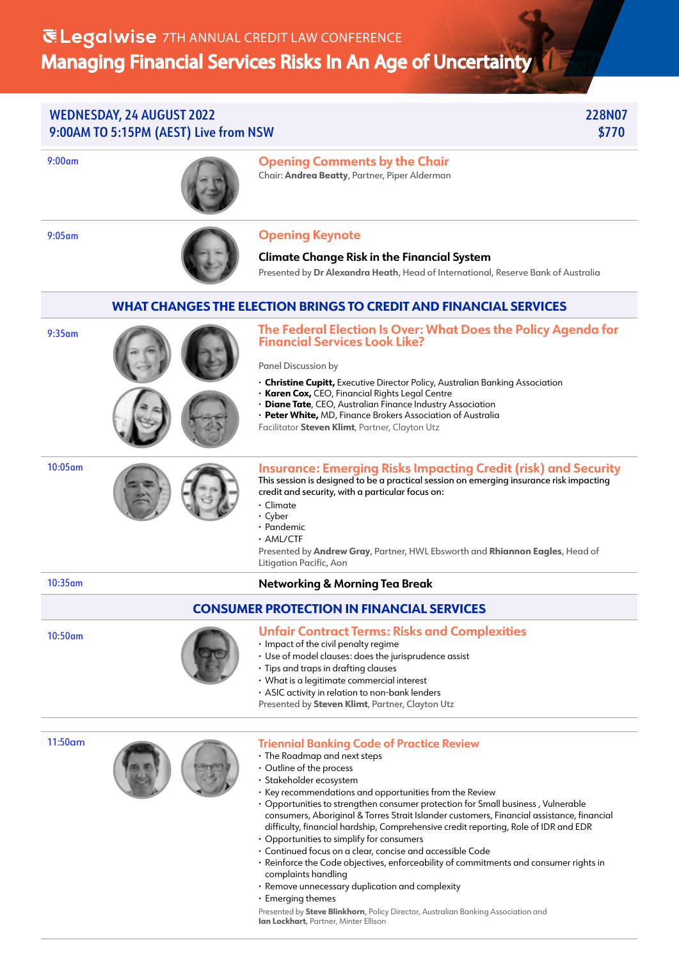### WEDNESDAY, 24 AUGUST 2022 228N07 9:00AM TO 5:15PM (AEST) Live from NSW  $\bullet$  3770

9:00am **Opening Comments by the Chair** Chair: **Andrea Beatty**, Partner, Piper Alderman



## 9:05am **Opening Keynote**

**Climate Change Risk in the Financial System**  Presented by **Dr Alexandra Heath**, Head of International, Reserve Bank of Australia

### **WHAT CHANGES THE ELECTION BRINGS TO CREDIT AND FINANCIAL SERVICES**

9:35am



**The Federal Election Is Over: What Does the Policy Agenda for Financial Services Look Like?**

Panel Discussion by

- **· Christine Cupitt,** Executive Director Policy, Australian Banking Association
- **· Karen Cox,** CEO, Financial Rights Legal Centre
- **· Diane Tate**, CEO, Australian Finance Industry Association
- **· Peter White,** MD, Finance Brokers Association of Australia
- Facilitator **Steven Klimt**, Partner, Clayton Utz





#### **Insurance: Emerging Risks Impacting Credit (risk) and Security**  This session is designed to be a practical session on emerging insurance risk impacting credit and security, with a particular focus on:

- **·** Climate
- **·** Cyber
- **·** Pandemic
- **·** AML/CTF

Presented by **Andrew Gray**, Partner, HWL Ebsworth and **Rhiannon Eagles**, Head of Litigation Pacific, Aon

### 10:35am **Networking & Morning Tea Break**

### **CONSUMER PROTECTION IN FINANCIAL SERVICES**

### 10:50am **Unfair Contract Terms: Risks and Complexities**

- **·** Impact of the civil penalty regime
- **·** Use of model clauses: does the jurisprudence assist
- **·** Tips and traps in drafting clauses
- **·** What is a legitimate commercial interest
- **·** ASIC activity in relation to non-bank lenders

Presented by **Steven Klimt**, Partner, Clayton Utz

11:50am



#### **Triennial Banking Code of Practice Review**

- **·** The Roadmap and next steps
- **·** Outline of the process
- **·** Stakeholder ecosystem
- **·** Key recommendations and opportunities from the Review
- **·** Opportunities to strengthen consumer protection for Small business , Vulnerable consumers, Aboriginal & Torres Strait Islander customers, Financial assistance, financial difficulty, financial hardship, Comprehensive credit reporting, Role of IDR and EDR
- **·** Opportunities to simplify for consumers
- **·** Continued focus on a clear, concise and accessible Code
- **·** Reinforce the Code objectives, enforceability of commitments and consumer rights in complaints handling
- **·** Remove unnecessary duplication and complexity
- **·** Emerging themes

Presented by **Steve Blinkhorn**, Policy Director, Australian Banking Association and **Ian Lockhart**, Partner, Minter Ellison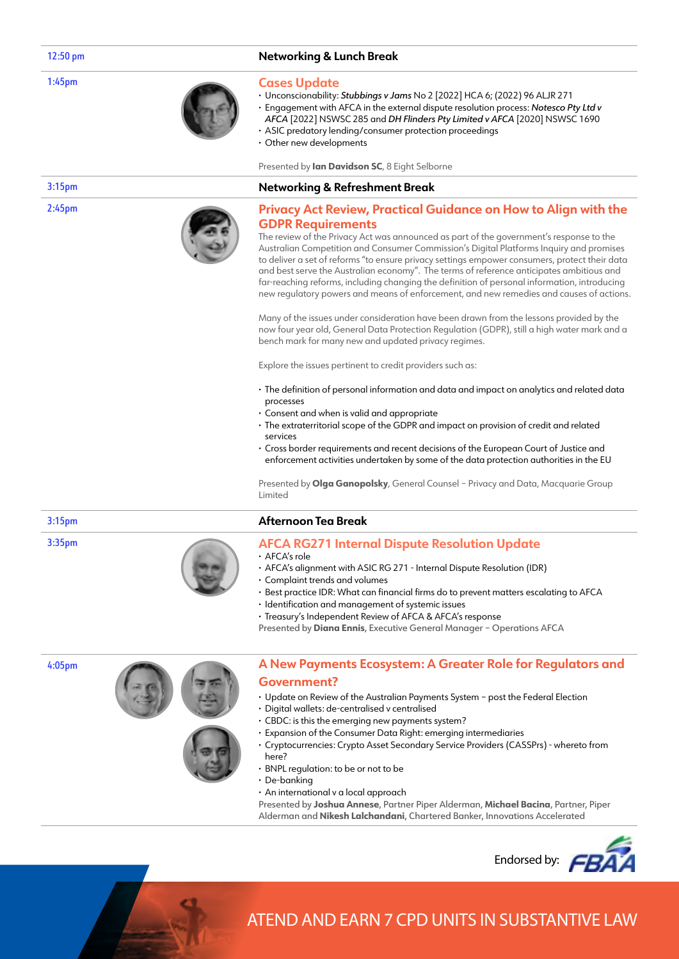#### 1:45pm

#### 12:50 pm **Networking & Lunch Break**

#### **Cases Update**

- **·** Unconscionability: *Stubbings v Jams* No 2 [2022] HCA 6; (2022) 96 ALJR 271
- **·** Engagement with AFCA in the external dispute resolution process: *Notesco Pty Ltd v AFCA* [2022] NSWSC 285 and *DH Flinders Pty Limited v AFCA* [2020] NSWSC 1690
- **·** ASIC predatory lending/consumer protection proceedings
- **·** Other new developments

Presented by **Ian Davidson SC**, 8 Eight Selborne

#### 3:15pm **Networking & Refreshment Break**

#### **Privacy Act Review, Practical Guidance on How to Align with the GDPR Requirements**

The review of the Privacy Act was announced as part of the government's response to the Australian Competition and Consumer Commission's Digital Platforms Inquiry and promises to deliver a set of reforms "to ensure privacy settings empower consumers, protect their data and best serve the Australian economy". The terms of reference anticipates ambitious and far-reaching reforms, including changing the definition of personal information, introducing new regulatory powers and means of enforcement, and new remedies and causes of actions.

Many of the issues under consideration have been drawn from the lessons provided by the now four year old, General Data Protection Regulation (GDPR), still a high water mark and a bench mark for many new and updated privacy regimes.

Explore the issues pertinent to credit providers such as:

- **·** The definition of personal information and data and impact on analytics and related data processes
- **·** Consent and when is valid and appropriate
- **·** The extraterritorial scope of the GDPR and impact on provision of credit and related services
- **·** Cross border requirements and recent decisions of the European Court of Justice and enforcement activities undertaken by some of the data protection authorities in the EU

Presented by **Olga Ganopolsky**, General Counsel – Privacy and Data, Macquarie Group Limited

#### 3:15pm **Afternoon Tea Break**

3:35pm



#### **AFCA RG271 Internal Dispute Resolution Update**

- **·** AFCA's role
- **·** AFCA's alignment with ASIC RG 271 Internal Dispute Resolution (IDR)
- **·** Complaint trends and volumes
- **·** Best practice IDR: What can financial firms do to prevent matters escalating to AFCA
- **·** Identification and management of systemic issues
- **·** Treasury's Independent Review of AFCA & AFCA's response

Presented by **Diana Ennis**, Executive General Manager – Operations AFCA

4:05pm





#### **A New Payments Ecosystem: A Greater Role for Regulators and Government?**

- **·** Update on Review of the Australian Payments System post the Federal Election
- **·** Digital wallets: de-centralised v centralised
- **·** CBDC: is this the emerging new payments system?
- **·** Expansion of the Consumer Data Right: emerging intermediaries
- **·** Cryptocurrencies: Crypto Asset Secondary Service Providers (CASSPrs) whereto from here?
- **·** BNPL regulation: to be or not to be
- **·** De-banking
- **·** An international v a local approach

Presented by **Joshua Annese**, Partner Piper Alderman, **Michael Bacina**, Partner, Piper Alderman and **Nikesh Lalchandani**, Chartered Banker, Innovations Accelerated



# ATEND AND EARN 7 CPD UNITS IN SUBSTANTIVE LAW

2:45pm